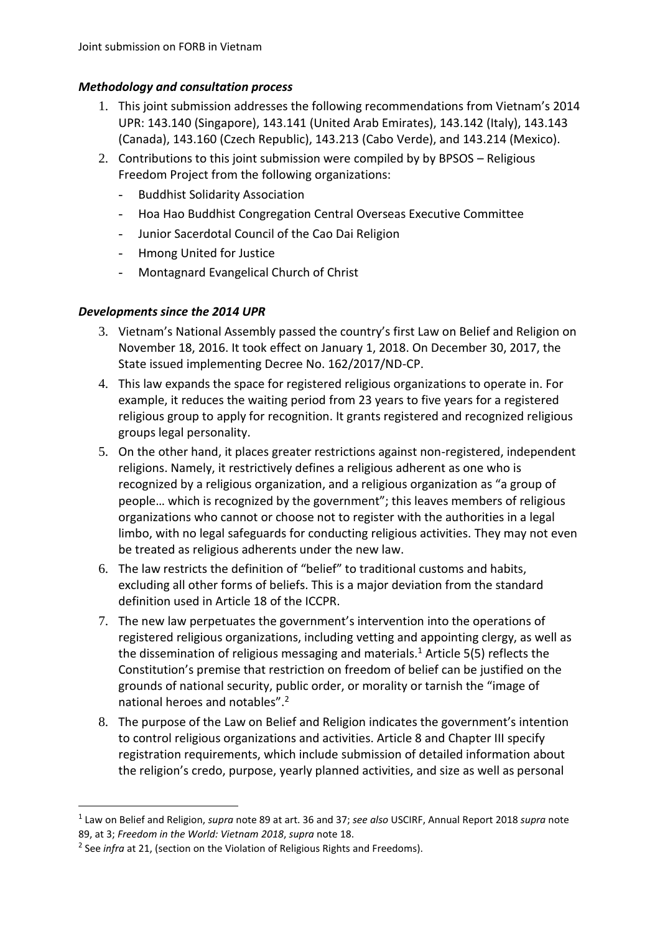## *Methodology and consultation process*

- 1. This joint submission addresses the following recommendations from Vietnam's 2014 UPR: 143.140 (Singapore), 143.141 (United Arab Emirates), 143.142 (Italy), 143.143 (Canada), 143.160 (Czech Republic), 143.213 (Cabo Verde), and 143.214 (Mexico).
- 2. Contributions to this joint submission were compiled by by BPSOS Religious Freedom Project from the following organizations:
	- Buddhist Solidarity Association
	- Hoa Hao Buddhist Congregation Central Overseas Executive Committee
	- Junior Sacerdotal Council of the Cao Dai Religion
	- Hmong United for Justice
	- Montagnard Evangelical Church of Christ

## *Developments since the 2014 UPR*

- 3. Vietnam's National Assembly passed the country's first Law on Belief and Religion on November 18, 2016. It took effect on January 1, 2018. On December 30, 2017, the State issued implementing Decree No. 162/2017/ND-CP.
- 4. This law expands the space for registered religious organizations to operate in. For example, it reduces the waiting period from 23 years to five years for a registered religious group to apply for recognition. It grants registered and recognized religious groups legal personality.
- 5. On the other hand, it places greater restrictions against non-registered, independent religions. Namely, it restrictively defines a religious adherent as one who is recognized by a religious organization, and a religious organization as "a group of people… which is recognized by the government"; this leaves members of religious organizations who cannot or choose not to register with the authorities in a legal limbo, with no legal safeguards for conducting religious activities. They may not even be treated as religious adherents under the new law.
- 6. The law restricts the definition of "belief" to traditional customs and habits, excluding all other forms of beliefs. This is a major deviation from the standard definition used in Article 18 of the ICCPR.
- 7. The new law perpetuates the government's intervention into the operations of registered religious organizations, including vetting and appointing clergy, as well as the dissemination of religious messaging and materials.<sup>1</sup> Article 5(5) reflects the Constitution's premise that restriction on freedom of belief can be justified on the grounds of national security, public order, or morality or tarnish the "image of national heroes and notables".<sup>2</sup>
- 8. The purpose of the Law on Belief and Religion indicates the government's intention to control religious organizations and activities. Article 8 and Chapter III specify registration requirements, which include submission of detailed information about the religion's credo, purpose, yearly planned activities, and size as well as personal

 $\overline{a}$ 

<sup>1</sup> Law on Belief and Religion, *supra* note 89 at art. 36 and 37; *see also* USCIRF, Annual Report 2018 *supra* note 89, at 3; *Freedom in the World: Vietnam 2018*, *supra* note 18.

<sup>&</sup>lt;sup>2</sup> See *infra* at 21, (section on the Violation of Religious Rights and Freedoms).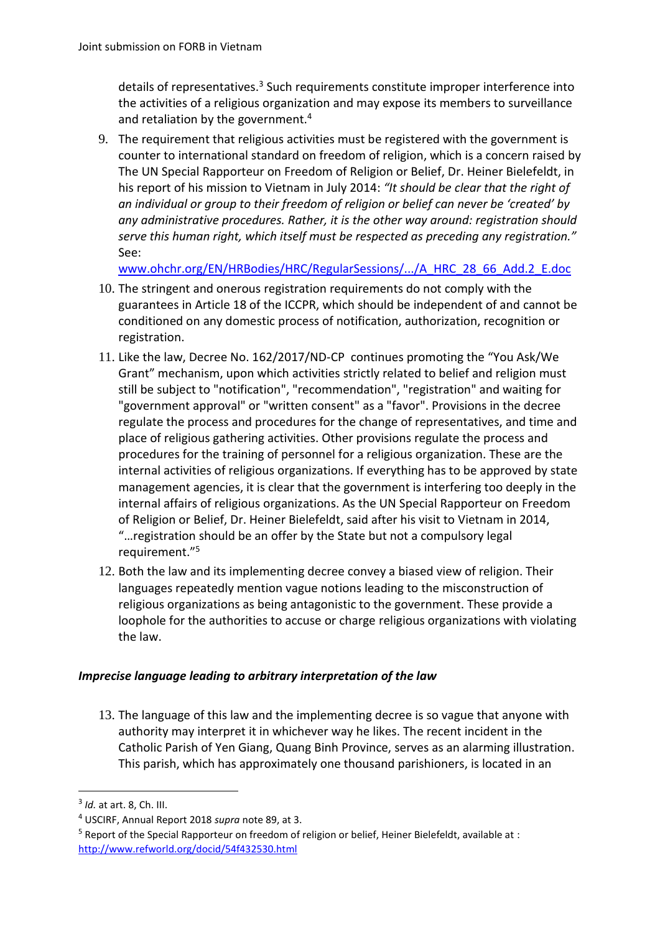details of representatives.<sup>3</sup> Such requirements constitute improper interference into the activities of a religious organization and may expose its members to surveillance and retaliation by the government.<sup>4</sup>

9. The requirement that religious activities must be registered with the government is counter to international standard on freedom of religion, which is a concern raised by The UN Special Rapporteur on Freedom of Religion or Belief, Dr. Heiner Bielefeldt, in his report of his mission to Vietnam in July 2014: *"It should be clear that the right of an individual or group to their freedom of religion or belief can never be 'created' by any administrative procedures. Rather, it is the other way around: registration should serve this human right, which itself must be respected as preceding any registration."*  See:

[www.ohchr.org/EN/HRBodies/HRC/RegularSessions/.../A\\_HRC\\_28\\_66\\_Add.2\\_E.doc](http://www.ohchr.org/EN/HRBodies/HRC/RegularSessions/.../A_HRC_28_66_Add.2_E.doc)

- 10. The stringent and onerous registration requirements do not comply with the guarantees in Article 18 of the ICCPR, which should be independent of and cannot be conditioned on any domestic process of notification, authorization, recognition or registration.
- 11. Like the law, Decree No. 162/2017/ND-CP continues promoting the "You Ask/We Grant" mechanism, upon which activities strictly related to belief and religion must still be subject to "notification", "recommendation", "registration" and waiting for "government approval" or "written consent" as a "favor". Provisions in the decree regulate the process and procedures for the change of representatives, and time and place of religious gathering activities. Other provisions regulate the process and procedures for the training of personnel for a religious organization. These are the internal activities of religious organizations. If everything has to be approved by state management agencies, it is clear that the government is interfering too deeply in the internal affairs of religious organizations. As the UN Special Rapporteur on Freedom of Religion or Belief, Dr. Heiner Bielefeldt, said after his visit to Vietnam in 2014, "…registration should be an offer by the State but not a compulsory legal requirement."<sup>5</sup>
- 12. Both the law and its implementing decree convey a biased view of religion. Their languages repeatedly mention vague notions leading to the misconstruction of religious organizations as being antagonistic to the government. These provide a loophole for the authorities to accuse or charge religious organizations with violating the law.

## *Imprecise language leading to arbitrary interpretation of the law*

13. The language of this law and the implementing decree is so vague that anyone with authority may interpret it in whichever way he likes. The recent incident in the Catholic Parish of Yen Giang, Quang Binh Province, serves as an alarming illustration. This parish, which has approximately one thousand parishioners, is located in an

**.** 

<sup>3</sup> *Id.* at art. 8, Ch. III.

<sup>4</sup> USCIRF, Annual Report 2018 *supra* note 89, at 3.

<sup>5</sup> Report of the Special Rapporteur on freedom of religion or belief, Heiner Bielefeldt, available at : <http://www.refworld.org/docid/54f432530.html>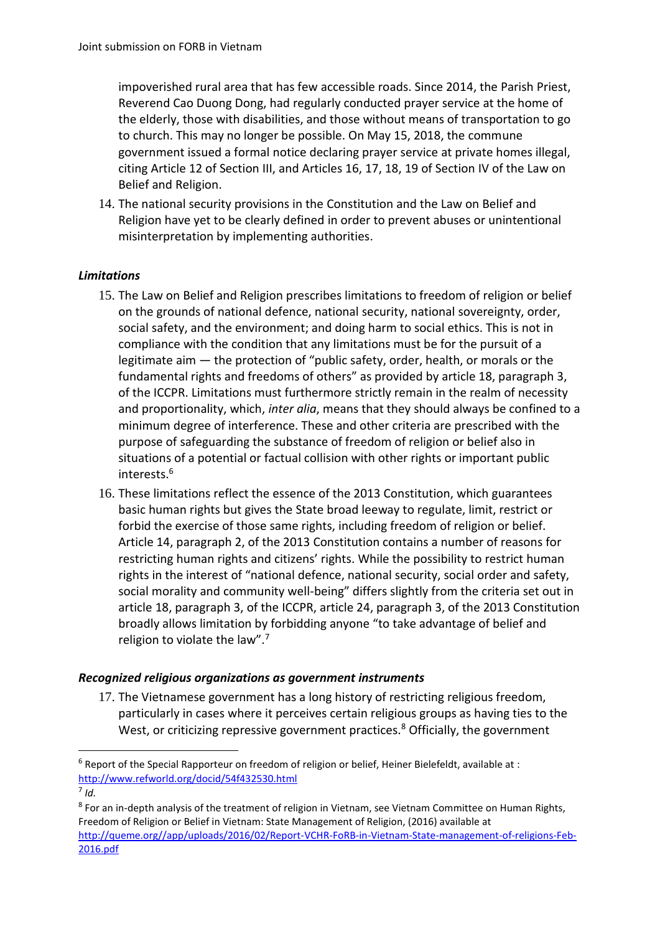impoverished rural area that has few accessible roads. Since 2014, the Parish Priest, Reverend Cao Duong Dong, had regularly conducted prayer service at the home of the elderly, those with disabilities, and those without means of transportation to go to church. This may no longer be possible. On May 15, 2018, the commune government issued a formal notice declaring prayer service at private homes illegal, citing Article 12 of Section III, and Articles 16, 17, 18, 19 of Section IV of the Law on Belief and Religion.

14. The national security provisions in the Constitution and the Law on Belief and Religion have yet to be clearly defined in order to prevent abuses or unintentional misinterpretation by implementing authorities.

## *Limitations*

- 15. The Law on Belief and Religion prescribes limitations to freedom of religion or belief on the grounds of national defence, national security, national sovereignty, order, social safety, and the environment; and doing harm to social ethics. This is not in compliance with the condition that any limitations must be for the pursuit of a legitimate aim — the protection of "public safety, order, health, or morals or the fundamental rights and freedoms of others" as provided by article 18, paragraph 3, of the ICCPR. Limitations must furthermore strictly remain in the realm of necessity and proportionality, which, *inter alia*, means that they should always be confined to a minimum degree of interference. These and other criteria are prescribed with the purpose of safeguarding the substance of freedom of religion or belief also in situations of a potential or factual collision with other rights or important public interests.<sup>6</sup>
- 16. These limitations reflect the essence of the 2013 Constitution, which guarantees basic human rights but gives the State broad leeway to regulate, limit, restrict or forbid the exercise of those same rights, including freedom of religion or belief. Article 14, paragraph 2, of the 2013 Constitution contains a number of reasons for restricting human rights and citizens' rights. While the possibility to restrict human rights in the interest of "national defence, national security, social order and safety, social morality and community well-being" differs slightly from the criteria set out in article 18, paragraph 3, of the ICCPR, article 24, paragraph 3, of the 2013 Constitution broadly allows limitation by forbidding anyone "to take advantage of belief and religion to violate the law".<sup>7</sup>

## *Recognized religious organizations as government instruments*

17. The Vietnamese government has a long history of restricting religious freedom, particularly in cases where it perceives certain religious groups as having ties to the West, or criticizing repressive government practices.<sup>8</sup> Officially, the government

**.** 

 $6$  Report of the Special Rapporteur on freedom of religion or belief, Heiner Bielefeldt, available at : <http://www.refworld.org/docid/54f432530.html>

<sup>7</sup> *Id.*

<sup>&</sup>lt;sup>8</sup> For an in-depth analysis of the treatment of religion in Vietnam, see Vietnam Committee on Human Rights, Freedom of Religion or Belief in Vietnam: State Management of Religion, (2016) available at [http://queme.org//app/uploads/2016/02/Report-VCHR-FoRB-in-Vietnam-State-management-of-religions-Feb-](http://queme.org/app/uploads/2016/02/Report-VCHR-FoRB-in-Vietnam-State-management-of-religions-Feb-2016.pdf)[2016.pdf](http://queme.org/app/uploads/2016/02/Report-VCHR-FoRB-in-Vietnam-State-management-of-religions-Feb-2016.pdf)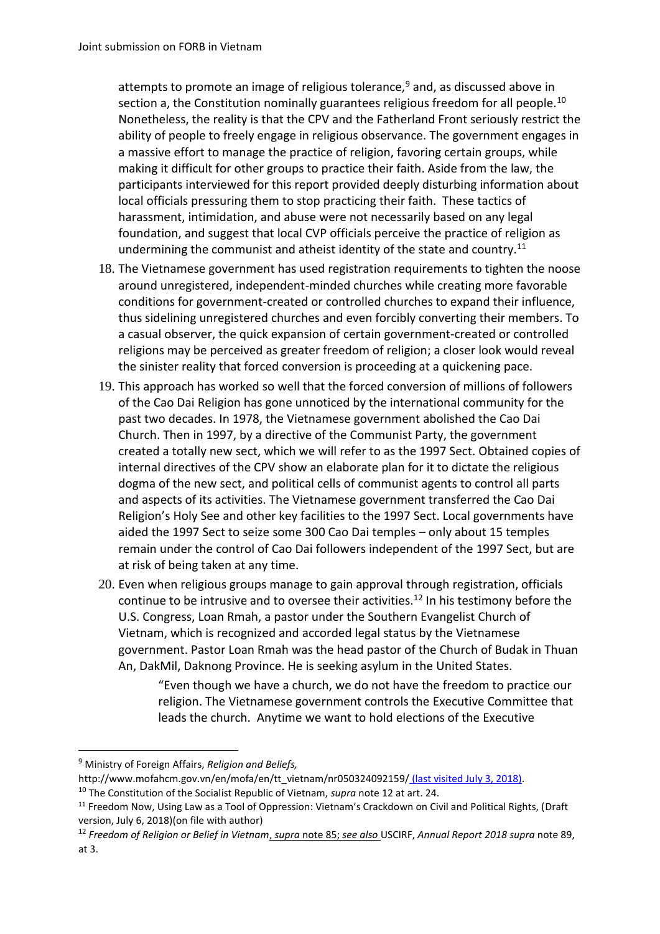attempts to promote an image of religious tolerance,<sup>9</sup> and, as discussed above in section a, the Constitution nominally guarantees religious freedom for all people.<sup>10</sup> Nonetheless, the reality is that the CPV and the Fatherland Front seriously restrict the ability of people to freely engage in religious observance. The government engages in a massive effort to manage the practice of religion, favoring certain groups, while making it difficult for other groups to practice their faith. Aside from the law, the participants interviewed for this report provided deeply disturbing information about local officials pressuring them to stop practicing their faith. These tactics of harassment, intimidation, and abuse were not necessarily based on any legal foundation, and suggest that local CVP officials perceive the practice of religion as undermining the communist and atheist identity of the state and country.<sup>11</sup>

- 18. The Vietnamese government has used registration requirements to tighten the noose around unregistered, independent-minded churches while creating more favorable conditions for government-created or controlled churches to expand their influence, thus sidelining unregistered churches and even forcibly converting their members. To a casual observer, the quick expansion of certain government-created or controlled religions may be perceived as greater freedom of religion; a closer look would reveal the sinister reality that forced conversion is proceeding at a quickening pace.
- 19. This approach has worked so well that the forced conversion of millions of followers of the Cao Dai Religion has gone unnoticed by the international community for the past two decades. In 1978, the Vietnamese government abolished the Cao Dai Church. Then in 1997, by a directive of the Communist Party, the government created a totally new sect, which we will refer to as the 1997 Sect. Obtained copies of internal directives of the CPV show an elaborate plan for it to dictate the religious dogma of the new sect, and political cells of communist agents to control all parts and aspects of its activities. The Vietnamese government transferred the Cao Dai Religion's Holy See and other key facilities to the 1997 Sect. Local governments have aided the 1997 Sect to seize some 300 Cao Dai temples – only about 15 temples remain under the control of Cao Dai followers independent of the 1997 Sect, but are at risk of being taken at any time.
- 20. Even when religious groups manage to gain approval through registration, officials continue to be intrusive and to oversee their activities.<sup>12</sup> In his testimony before the U.S. Congress, Loan Rmah, a pastor under the Southern Evangelist Church of Vietnam, which is recognized and accorded legal status by the Vietnamese government. Pastor Loan Rmah was the head pastor of the Church of Budak in Thuan An, DakMil, Daknong Province. He is seeking asylum in the United States.

"Even though we have a church, we do not have the freedom to practice our religion. The Vietnamese government controls the Executive Committee that leads the church. Anytime we want to hold elections of the Executive

**.** 

<sup>9</sup> Ministry of Foreign Affairs, *Religion and Beliefs,*

http://www.mofahcm.gov.vn/en/mofa/en/tt\_vietnam/nr050324092159/ (last visited July 3, 2018).

<sup>10</sup> The Constitution of the Socialist Republic of Vietnam, *supra* note 12 at art. 24.

<sup>&</sup>lt;sup>11</sup> Freedom Now, Using Law as a Tool of Oppression: Vietnam's Crackdown on Civil and Political Rights, (Draft version, July 6, 2018)(on file with author)

<sup>12</sup> *Freedom of Religion or Belief in Vietnam*, *supra* note 85; *see also* USCIRF, *Annual Report 2018 supra* note 89, at 3.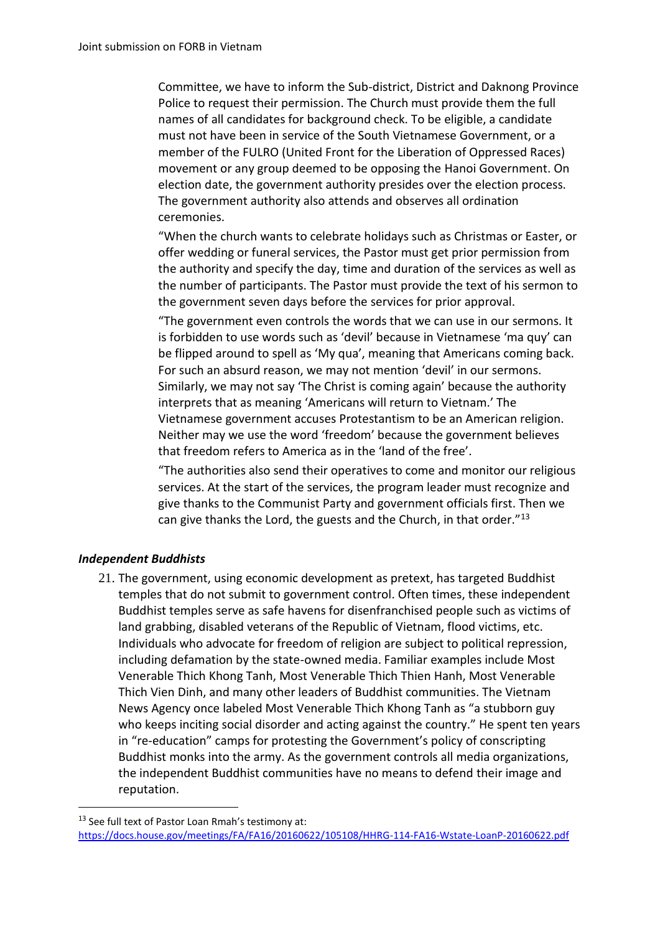Committee, we have to inform the Sub-district, District and Daknong Province Police to request their permission. The Church must provide them the full names of all candidates for background check. To be eligible, a candidate must not have been in service of the South Vietnamese Government, or a member of the FULRO (United Front for the Liberation of Oppressed Races) movement or any group deemed to be opposing the Hanoi Government. On election date, the government authority presides over the election process. The government authority also attends and observes all ordination ceremonies.

"When the church wants to celebrate holidays such as Christmas or Easter, or offer wedding or funeral services, the Pastor must get prior permission from the authority and specify the day, time and duration of the services as well as the number of participants. The Pastor must provide the text of his sermon to the government seven days before the services for prior approval.

"The government even controls the words that we can use in our sermons. It is forbidden to use words such as 'devil' because in Vietnamese 'ma quy' can be flipped around to spell as 'My qua', meaning that Americans coming back. For such an absurd reason, we may not mention 'devil' in our sermons. Similarly, we may not say 'The Christ is coming again' because the authority interprets that as meaning 'Americans will return to Vietnam.' The Vietnamese government accuses Protestantism to be an American religion. Neither may we use the word 'freedom' because the government believes that freedom refers to America as in the 'land of the free'.

"The authorities also send their operatives to come and monitor our religious services. At the start of the services, the program leader must recognize and give thanks to the Communist Party and government officials first. Then we can give thanks the Lord, the guests and the Church, in that order."13

### *Independent Buddhists*

**.** 

21. The government, using economic development as pretext, has targeted Buddhist temples that do not submit to government control. Often times, these independent Buddhist temples serve as safe havens for disenfranchised people such as victims of land grabbing, disabled veterans of the Republic of Vietnam, flood victims, etc. Individuals who advocate for freedom of religion are subject to political repression, including defamation by the state-owned media. Familiar examples include Most Venerable Thich Khong Tanh, Most Venerable Thich Thien Hanh, Most Venerable Thich Vien Dinh, and many other leaders of Buddhist communities. The Vietnam News Agency once labeled Most Venerable Thich Khong Tanh as "a stubborn guy who keeps inciting social disorder and acting against the country." He spent ten years in "re-education" camps for protesting the Government's policy of conscripting Buddhist monks into the army. As the government controls all media organizations, the independent Buddhist communities have no means to defend their image and reputation.

<sup>&</sup>lt;sup>13</sup> See full text of Pastor Loan Rmah's testimony at: <https://docs.house.gov/meetings/FA/FA16/20160622/105108/HHRG-114-FA16-Wstate-LoanP-20160622.pdf>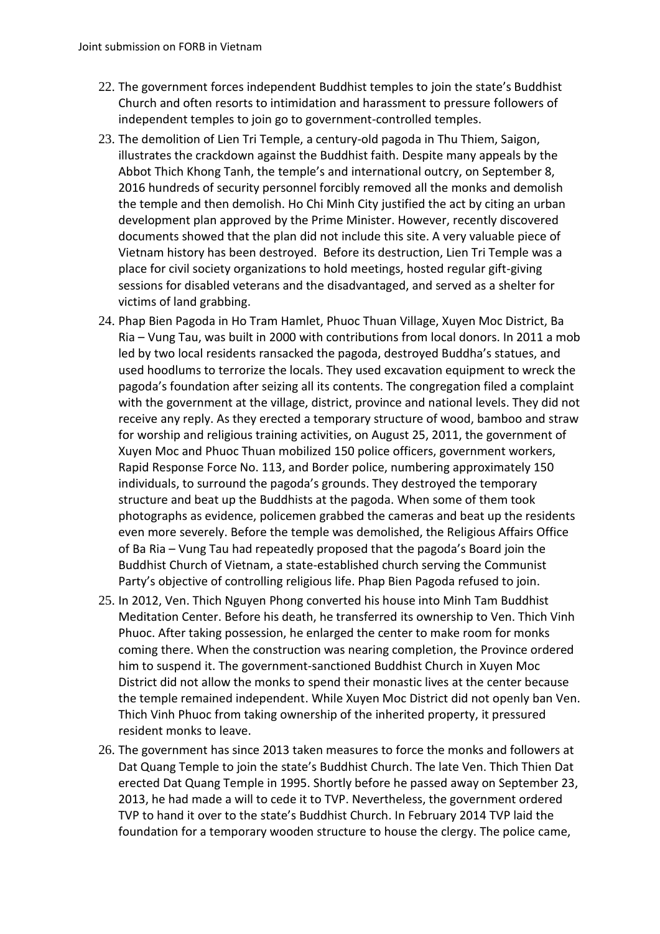- 22. The government forces independent Buddhist temples to join the state's Buddhist Church and often resorts to intimidation and harassment to pressure followers of independent temples to join go to government-controlled temples.
- 23. The demolition of Lien Tri Temple, a century-old pagoda in Thu Thiem, Saigon, illustrates the crackdown against the Buddhist faith. Despite many appeals by the Abbot Thich Khong Tanh, the temple's and international outcry, on September 8, 2016 hundreds of security personnel forcibly removed all the monks and demolish the temple and then demolish. Ho Chi Minh City justified the act by citing an urban development plan approved by the Prime Minister. However, recently discovered documents showed that the plan did not include this site. A very valuable piece of Vietnam history has been destroyed. Before its destruction, Lien Tri Temple was a place for civil society organizations to hold meetings, hosted regular gift-giving sessions for disabled veterans and the disadvantaged, and served as a shelter for victims of land grabbing.
- 24. Phap Bien Pagoda in Ho Tram Hamlet, Phuoc Thuan Village, Xuyen Moc District, Ba Ria – Vung Tau, was built in 2000 with contributions from local donors. In 2011 a mob led by two local residents ransacked the pagoda, destroyed Buddha's statues, and used hoodlums to terrorize the locals. They used excavation equipment to wreck the pagoda's foundation after seizing all its contents. The congregation filed a complaint with the government at the village, district, province and national levels. They did not receive any reply. As they erected a temporary structure of wood, bamboo and straw for worship and religious training activities, on August 25, 2011, the government of Xuyen Moc and Phuoc Thuan mobilized 150 police officers, government workers, Rapid Response Force No. 113, and Border police, numbering approximately 150 individuals, to surround the pagoda's grounds. They destroyed the temporary structure and beat up the Buddhists at the pagoda. When some of them took photographs as evidence, policemen grabbed the cameras and beat up the residents even more severely. Before the temple was demolished, the Religious Affairs Office of Ba Ria – Vung Tau had repeatedly proposed that the pagoda's Board join the Buddhist Church of Vietnam, a state-established church serving the Communist Party's objective of controlling religious life. Phap Bien Pagoda refused to join.
- 25. In 2012, Ven. Thich Nguyen Phong converted his house into Minh Tam Buddhist Meditation Center. Before his death, he transferred its ownership to Ven. Thich Vinh Phuoc. After taking possession, he enlarged the center to make room for monks coming there. When the construction was nearing completion, the Province ordered him to suspend it. The government-sanctioned Buddhist Church in Xuyen Moc District did not allow the monks to spend their monastic lives at the center because the temple remained independent. While Xuyen Moc District did not openly ban Ven. Thich Vinh Phuoc from taking ownership of the inherited property, it pressured resident monks to leave.
- 26. The government has since 2013 taken measures to force the monks and followers at Dat Quang Temple to join the state's Buddhist Church. The late Ven. Thich Thien Dat erected Dat Quang Temple in 1995. Shortly before he passed away on September 23, 2013, he had made a will to cede it to TVP. Nevertheless, the government ordered TVP to hand it over to the state's Buddhist Church. In February 2014 TVP laid the foundation for a temporary wooden structure to house the clergy. The police came,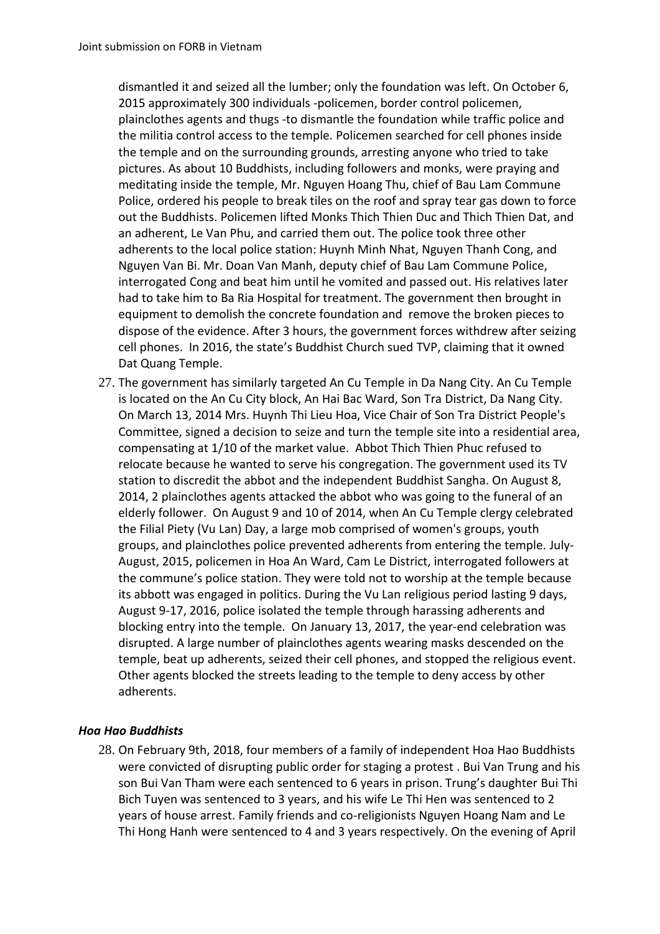dismantled it and seized all the lumber; only the foundation was left. On October 6, 2015 approximately 300 individuals -policemen, border control policemen, plainclothes agents and thugs -to dismantle the foundation while traffic police and the militia control access to the temple. Policemen searched for cell phones inside the temple and on the surrounding grounds, arresting anyone who tried to take pictures. As about 10 Buddhists, including followers and monks, were praying and meditating inside the temple, Mr. Nguyen Hoang Thu, chief of Bau Lam Commune Police, ordered his people to break tiles on the roof and spray tear gas down to force out the Buddhists. Policemen lifted Monks Thich Thien Duc and Thich Thien Dat, and an adherent, Le Van Phu, and carried them out. The police took three other adherents to the local police station: Huynh Minh Nhat, Nguyen Thanh Cong, and Nguyen Van Bi. Mr. Doan Van Manh, deputy chief of Bau Lam Commune Police, interrogated Cong and beat him until he vomited and passed out. His relatives later had to take him to Ba Ria Hospital for treatment. The government then brought in equipment to demolish the concrete foundation and remove the broken pieces to dispose of the evidence. After 3 hours, the government forces withdrew after seizing cell phones. In 2016, the state's Buddhist Church sued TVP, claiming that it owned Dat Quang Temple.

27. The government has similarly targeted An Cu Temple in Da Nang City. An Cu Temple is located on the An Cu City block, An Hai Bac Ward, Son Tra District, Da Nang City. On March 13, 2014 Mrs. Huynh Thi Lieu Hoa, Vice Chair of Son Tra District People's Committee, signed a decision to seize and turn the temple site into a residential area, compensating at 1/10 of the market value. Abbot Thich Thien Phuc refused to relocate because he wanted to serve his congregation. The government used its TV station to discredit the abbot and the independent Buddhist Sangha. On August 8, 2014, 2 plainclothes agents attacked the abbot who was going to the funeral of an elderly follower. On August 9 and 10 of 2014, when An Cu Temple clergy celebrated the Filial Piety (Vu Lan) Day, a large mob comprised of women's groups, youth groups, and plainclothes police prevented adherents from entering the temple. July-August, 2015, policemen in Hoa An Ward, Cam Le District, interrogated followers at the commune's police station. They were told not to worship at the temple because its abbott was engaged in politics. During the Vu Lan religious period lasting 9 days, August 9-17, 2016, police isolated the temple through harassing adherents and blocking entry into the temple. On January 13, 2017, the year-end celebration was disrupted. A large number of plainclothes agents wearing masks descended on the temple, beat up adherents, seized their cell phones, and stopped the religious event. Other agents blocked the streets leading to the temple to deny access by other adherents.

### *Hoa Hao Buddhists*

28. On February 9th, 2018, four members of a family of independent Hoa Hao Buddhists were convicted of disrupting public order for staging a protest . Bui Van Trung and his son Bui Van Tham were each sentenced to 6 years in prison. Trung's daughter Bui Thi Bich Tuyen was sentenced to 3 years, and his wife Le Thi Hen was sentenced to 2 years of house arrest. Family friends and co-religionists Nguyen Hoang Nam and Le Thi Hong Hanh were sentenced to 4 and 3 years respectively. On the evening of April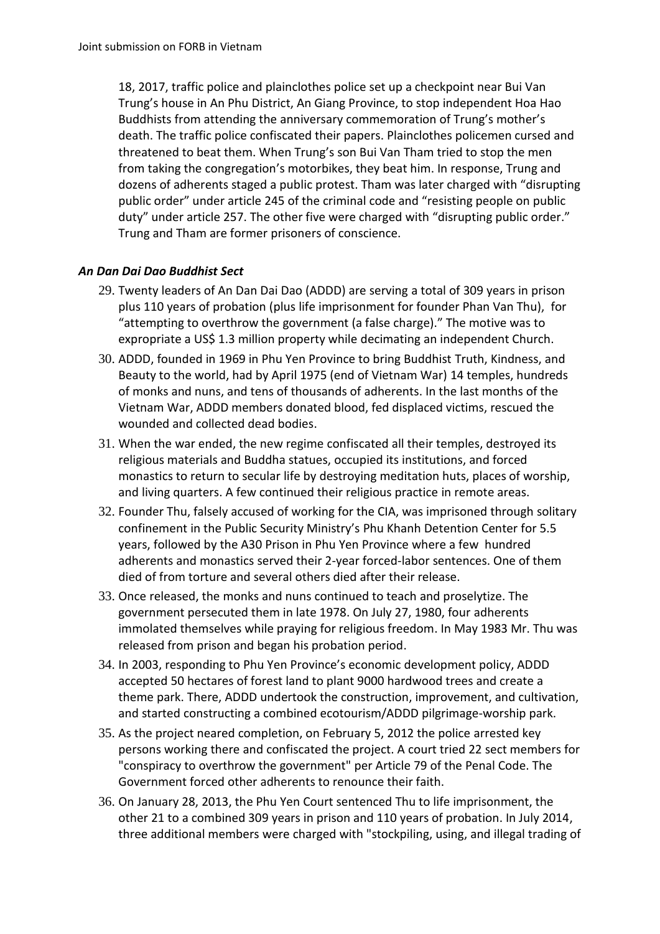18, 2017, traffic police and plainclothes police set up a checkpoint near Bui Van Trung's house in An Phu District, An Giang Province, to stop independent Hoa Hao Buddhists from attending the anniversary commemoration of Trung's mother's death. The traffic police confiscated their papers. Plainclothes policemen cursed and threatened to beat them. When Trung's son Bui Van Tham tried to stop the men from taking the congregation's motorbikes, they beat him. In response, Trung and dozens of adherents staged a public protest. Tham was later charged with "disrupting public order" under article 245 of the criminal code and "resisting people on public duty" under article 257. The other five were charged with "disrupting public order." Trung and Tham are former prisoners of conscience.

# *An Dan Dai Dao Buddhist Sect*

- 29. Twenty leaders of An Dan Dai Dao (ADDD) are serving a total of 309 years in prison plus 110 years of probation (plus life imprisonment for founder Phan Van Thu), for "attempting to overthrow the government (a false charge)." The motive was to expropriate a US\$ 1.3 million property while decimating an independent Church.
- 30. ADDD, founded in 1969 in Phu Yen Province to bring Buddhist Truth, Kindness, and Beauty to the world, had by April 1975 (end of Vietnam War) 14 temples, hundreds of monks and nuns, and tens of thousands of adherents. In the last months of the Vietnam War, ADDD members donated blood, fed displaced victims, rescued the wounded and collected dead bodies.
- 31. When the war ended, the new regime confiscated all their temples, destroyed its religious materials and Buddha statues, occupied its institutions, and forced monastics to return to secular life by destroying meditation huts, places of worship, and living quarters. A few continued their religious practice in remote areas.
- 32. Founder Thu, falsely accused of working for the CIA, was imprisoned through solitary confinement in the Public Security Ministry's Phu Khanh Detention Center for 5.5 years, followed by the A30 Prison in Phu Yen Province where a few hundred adherents and monastics served their 2-year forced-labor sentences. One of them died of from torture and several others died after their release.
- 33. Once released, the monks and nuns continued to teach and proselytize. The government persecuted them in late 1978. On July 27, 1980, four adherents immolated themselves while praying for religious freedom. In May 1983 Mr. Thu was released from prison and began his probation period.
- 34. In 2003, responding to Phu Yen Province's economic development policy, ADDD accepted 50 hectares of forest land to plant 9000 hardwood trees and create a theme park. There, ADDD undertook the construction, improvement, and cultivation, and started constructing a combined ecotourism/ADDD pilgrimage-worship park.
- 35. As the project neared completion, on February 5, 2012 the police arrested key persons working there and confiscated the project. A court tried 22 sect members for "conspiracy to overthrow the government" per Article 79 of the Penal Code. The Government forced other adherents to renounce their faith.
- 36. On January 28, 2013, the Phu Yen Court sentenced Thu to life imprisonment, the other 21 to a combined 309 years in prison and 110 years of probation. In July 2014, three additional members were charged with "stockpiling, using, and illegal trading of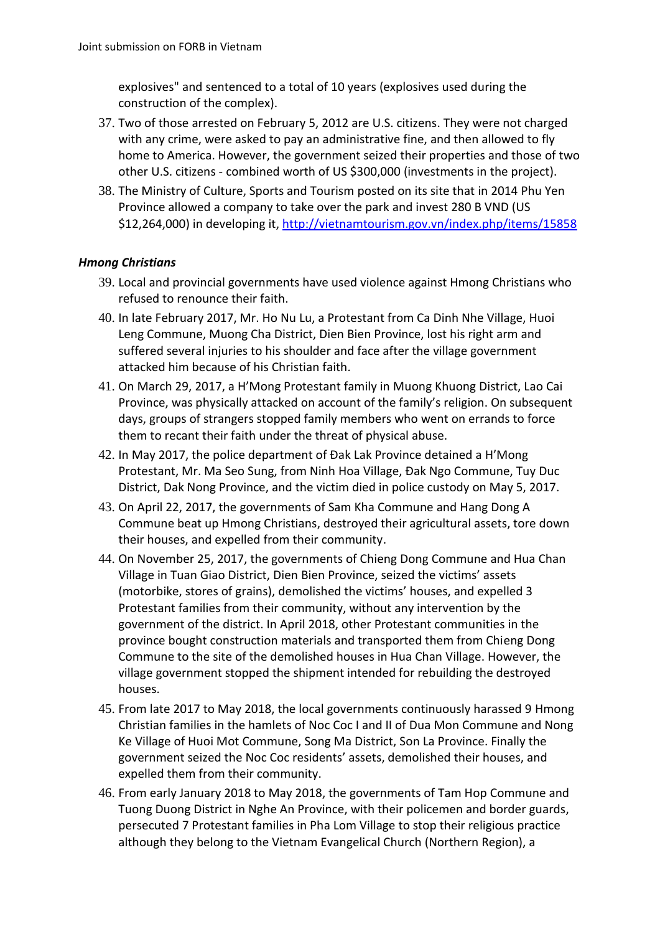explosives" and sentenced to a total of 10 years (explosives used during the construction of the complex).

- 37. Two of those arrested on February 5, 2012 are U.S. citizens. They were not charged with any crime, were asked to pay an administrative fine, and then allowed to fly home to America. However, the government seized their properties and those of two other U.S. citizens - combined worth of US \$300,000 (investments in the project).
- 38. The Ministry of Culture, Sports and Tourism posted on its site that in 2014 Phu Yen Province allowed a company to take over the park and invest 280 B VND (US \$12,264,000) in developing it, <http://vietnamtourism.gov.vn/index.php/items/15858>

## *Hmong Christians*

- 39. Local and provincial governments have used violence against Hmong Christians who refused to renounce their faith.
- 40. In late February 2017, Mr. Ho Nu Lu, a Protestant from Ca Dinh Nhe Village, Huoi Leng Commune, Muong Cha District, Dien Bien Province, lost his right arm and suffered several injuries to his shoulder and face after the village government attacked him because of his Christian faith.
- 41. On March 29, 2017, a H'Mong Protestant family in Muong Khuong District, Lao Cai Province, was physically attacked on account of the family's religion. On subsequent days, groups of strangers stopped family members who went on errands to force them to recant their faith under the threat of physical abuse.
- 42. In May 2017, the police department of Đak Lak Province detained a H'Mong Protestant, Mr. Ma Seo Sung, from Ninh Hoa Village, Đak Ngo Commune, Tuy Duc District, Dak Nong Province, and the victim died in police custody on May 5, 2017.
- 43. On April 22, 2017, the governments of Sam Kha Commune and Hang Dong A Commune beat up Hmong Christians, destroyed their agricultural assets, tore down their houses, and expelled from their community.
- 44. On November 25, 2017, the governments of Chieng Dong Commune and Hua Chan Village in Tuan Giao District, Dien Bien Province, seized the victims' assets (motorbike, stores of grains), demolished the victims' houses, and expelled 3 Protestant families from their community, without any intervention by the government of the district. In April 2018, other Protestant communities in the province bought construction materials and transported them from Chieng Dong Commune to the site of the demolished houses in Hua Chan Village. However, the village government stopped the shipment intended for rebuilding the destroyed houses.
- 45. From late 2017 to May 2018, the local governments continuously harassed 9 Hmong Christian families in the hamlets of Noc Coc I and II of Dua Mon Commune and Nong Ke Village of Huoi Mot Commune, Song Ma District, Son La Province. Finally the government seized the Noc Coc residents' assets, demolished their houses, and expelled them from their community.
- 46. From early January 2018 to May 2018, the governments of Tam Hop Commune and Tuong Duong District in Nghe An Province, with their policemen and border guards, persecuted 7 Protestant families in Pha Lom Village to stop their religious practice although they belong to the Vietnam Evangelical Church (Northern Region), a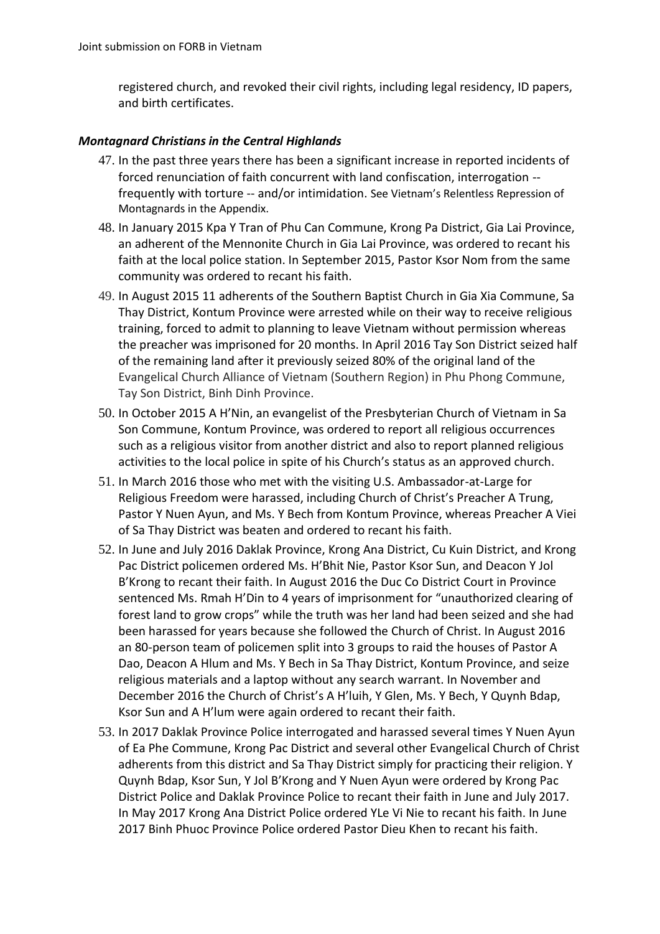registered church, and revoked their civil rights, including legal residency, ID papers, and birth certificates.

#### *Montagnard Christians in the Central Highlands*

- 47. In the past three years there has been a significant increase in reported incidents of forced renunciation of faith concurrent with land confiscation, interrogation - frequently with torture -- and/or intimidation. See Vietnam's Relentless Repression of Montagnards in the Appendix.
- 48. In January 2015 Kpa Y Tran of Phu Can Commune, Krong Pa District, Gia Lai Province, an adherent of the Mennonite Church in Gia Lai Province, was ordered to recant his faith at the local police station. In September 2015, Pastor Ksor Nom from the same community was ordered to recant his faith.
- 49. In August 2015 11 adherents of the Southern Baptist Church in Gia Xia Commune, Sa Thay District, Kontum Province were arrested while on their way to receive religious training, forced to admit to planning to leave Vietnam without permission whereas the preacher was imprisoned for 20 months. In April 2016 Tay Son District seized half of the remaining land after it previously seized 80% of the original land of the Evangelical Church Alliance of Vietnam (Southern Region) in Phu Phong Commune, Tay Son District, Binh Dinh Province.
- 50. In October 2015 A H'Nin, an evangelist of the Presbyterian Church of Vietnam in Sa Son Commune, Kontum Province, was ordered to report all religious occurrences such as a religious visitor from another district and also to report planned religious activities to the local police in spite of his Church's status as an approved church.
- 51. In March 2016 those who met with the visiting U.S. Ambassador-at-Large for Religious Freedom were harassed, including Church of Christ's Preacher A Trung, Pastor Y Nuen Ayun, and Ms. Y Bech from Kontum Province, whereas Preacher A Viei of Sa Thay District was beaten and ordered to recant his faith.
- 52. In June and July 2016 Daklak Province, Krong Ana District, Cu Kuin District, and Krong Pac District policemen ordered Ms. H'Bhit Nie, Pastor Ksor Sun, and Deacon Y Jol B'Krong to recant their faith. In August 2016 the Duc Co District Court in Province sentenced Ms. Rmah H'Din to 4 years of imprisonment for "unauthorized clearing of forest land to grow crops" while the truth was her land had been seized and she had been harassed for years because she followed the Church of Christ. In August 2016 an 80-person team of policemen split into 3 groups to raid the houses of Pastor A Dao, Deacon A Hlum and Ms. Y Bech in Sa Thay District, Kontum Province, and seize religious materials and a laptop without any search warrant. In November and December 2016 the Church of Christ's A H'luih, Y Glen, Ms. Y Bech, Y Quynh Bdap, Ksor Sun and A H'lum were again ordered to recant their faith.
- 53. In 2017 Daklak Province Police interrogated and harassed several times Y Nuen Ayun of Ea Phe Commune, Krong Pac District and several other Evangelical Church of Christ adherents from this district and Sa Thay District simply for practicing their religion. Y Quynh Bdap, Ksor Sun, Y Jol B'Krong and Y Nuen Ayun were ordered by Krong Pac District Police and Daklak Province Police to recant their faith in June and July 2017. In May 2017 Krong Ana District Police ordered YLe Vi Nie to recant his faith. In June 2017 Binh Phuoc Province Police ordered Pastor Dieu Khen to recant his faith.